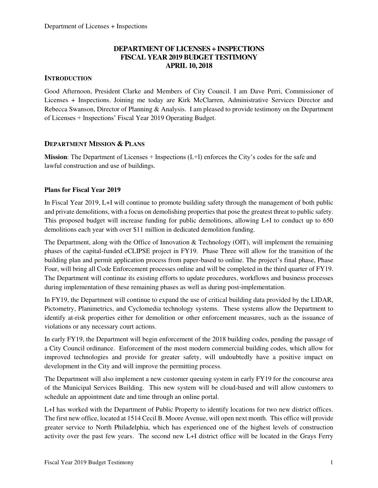## **DEPARTMENT OF LICENSES + INSPECTIONS FISCAL YEAR 2019 BUDGET TESTIMONY APRIL 10, 2018**

### **INTRODUCTION**

Good Afternoon, President Clarke and Members of City Council. I am Dave Perri, Commissioner of Licenses + Inspections. Joining me today are Kirk McClarren, Administrative Services Director and Rebecca Swanson, Director of Planning & Analysis. I am pleased to provide testimony on the Department of Licenses + Inspections' Fiscal Year 2019 Operating Budget.

#### **DEPARTMENT MISSION & PLANS**

**Mission**: The Department of Licenses + Inspections (L+I) enforces the City's codes for the safe and lawful construction and use of buildings.

#### **Plans for Fiscal Year 2019**

In Fiscal Year 2019, L+I will continue to promote building safety through the management of both public and private demolitions, with a focus on demolishing properties that pose the greatest threat to public safety. This proposed budget will increase funding for public demolitions, allowing L+I to conduct up to 650 demolitions each year with over \$11 million in dedicated demolition funding.

The Department, along with the Office of Innovation & Technology (OIT), will implement the remaining phases of the capital-funded eCLIPSE project in FY19. Phase Three will allow for the transition of the building plan and permit application process from paper-based to online. The project's final phase, Phase Four, will bring all Code Enforcement processes online and will be completed in the third quarter of FY19. The Department will continue its existing efforts to update procedures, workflows and business processes during implementation of these remaining phases as well as during post-implementation.

In FY19, the Department will continue to expand the use of critical building data provided by the LIDAR, Pictometry, Planimetrics, and Cyclomedia technology systems. These systems allow the Department to identify at-risk properties either for demolition or other enforcement measures, such as the issuance of violations or any necessary court actions.

In early FY19, the Department will begin enforcement of the 2018 building codes, pending the passage of a City Council ordinance. Enforcement of the most modern commercial building codes, which allow for improved technologies and provide for greater safety, will undoubtedly have a positive impact on development in the City and will improve the permitting process.

The Department will also implement a new customer queuing system in early FY19 for the concourse area of the Municipal Services Building. This new system will be cloud-based and will allow customers to schedule an appointment date and time through an online portal.

L+I has worked with the Department of Public Property to identify locations for two new district offices. The first new office, located at 1514 Cecil B. Moore Avenue, will open next month. This office will provide greater service to North Philadelphia, which has experienced one of the highest levels of construction activity over the past few years. The second new L+I district office will be located in the Grays Ferry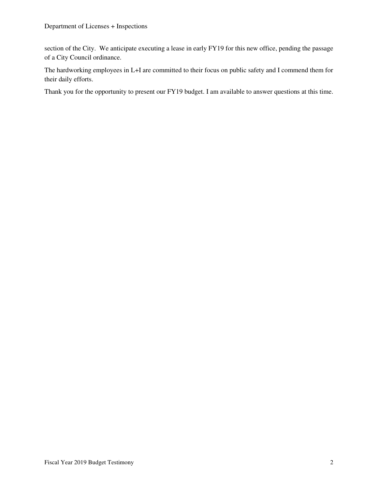section of the City. We anticipate executing a lease in early FY19 for this new office, pending the passage of a City Council ordinance.

The hardworking employees in L+I are committed to their focus on public safety and I commend them for their daily efforts.

Thank you for the opportunity to present our FY19 budget. I am available to answer questions at this time.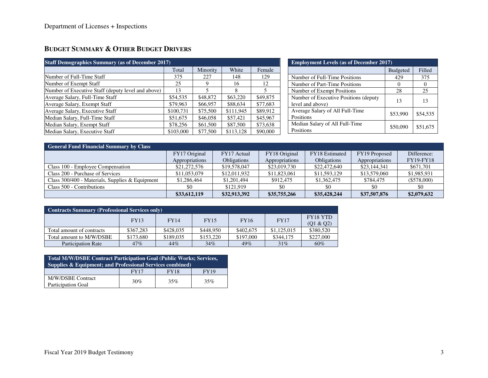# **BUDGET SUMMARY & OTHER BUDGET DRIVERS**

| <b>Staff Demographics Summary (as of December 2017)</b> | <b>Employment Levels (as of December 2017)</b> |          |           |          |                                        |                 |          |
|---------------------------------------------------------|------------------------------------------------|----------|-----------|----------|----------------------------------------|-----------------|----------|
|                                                         | Total                                          | Minority | White     | Female   |                                        | <b>Budgeted</b> | Filled   |
| Number of Full-Time Staff                               | 375                                            | 227      | 148       | 129      | Number of Full-Time Positions          | 429             | 375      |
| Number of Exempt Staff                                  | 25                                             |          | 16        | 12       | Number of Part-Time Positions          |                 |          |
| Number of Executive Staff (deputy level and above)      | 13                                             |          |           |          | Number of Exempt Positions             | 28              | 25       |
| Average Salary, Full-Time Staff                         | \$54,535                                       | \$48,872 | \$63,220  | \$49,875 | Number of Executive Positions (deputy) | 13              |          |
| Average Salary, Exempt Staff                            | \$79,963                                       | \$66,957 | \$88,634  | \$77,683 | level and above)                       |                 |          |
| Average Salary, Executive Staff                         | \$100.731                                      | \$75,500 | \$111.945 | \$89,912 | Average Salary of All Full-Time        | \$53,990        | \$54,535 |
| Median Salary, Full-Time Staff                          | \$51,675                                       | \$46,058 | \$57,421  | \$45,967 | Positions                              |                 |          |
| Median Salary, Exempt Staff                             | \$78,256                                       | \$61,500 | \$87,500  | \$73,638 | Median Salary of All Full-Time         | \$50,090        | \$51,675 |
| Median Salary, Executive Staff                          | \$103,000                                      | \$77,500 | \$113.128 | \$90,000 | Positions                              |                 |          |

| <b>General Fund Financial Summary by Class</b>    |                |                    |                |                    |                |                  |  |  |  |  |  |
|---------------------------------------------------|----------------|--------------------|----------------|--------------------|----------------|------------------|--|--|--|--|--|
|                                                   | FY17 Original  | FY17 Actual        | FY18 Original  | FY18 Estimated     | FY19 Proposed  | Difference:      |  |  |  |  |  |
|                                                   | Appropriations | <b>Obligations</b> | Appropriations | <b>Obligations</b> | Appropriations | <b>FY19-FY18</b> |  |  |  |  |  |
| Class 100 - Employee Compensation                 | \$21,272,576   | \$19,578,047       | \$23,019,730   | \$22,472,640       | \$23,144,341   | \$671,701        |  |  |  |  |  |
| Class 200 - Purchase of Services                  | \$11,053,079   | \$12,011.932       | \$11,823,061   | \$11,593,129       | \$13,579,060   | \$1,985,931      |  |  |  |  |  |
| Class $300/400$ - Materials, Supplies & Equipment | \$1,286,464    | \$1,201,494        | \$912,475      | \$1,362,475        | \$784,475      | $(\$578,000)$    |  |  |  |  |  |
| Class 500 - Contributions                         | \$0            | \$121,919          | \$0            | \$0                | \$0            | \$0              |  |  |  |  |  |
|                                                   | \$33,612,119   | \$32,913,392       | \$35,755,266   | \$35,428,244       | \$37,507,876   | \$2,079,632      |  |  |  |  |  |

| <b>Contracts Summary (Professional Services only)</b> |             |             |             |             |             |                              |  |  |  |  |
|-------------------------------------------------------|-------------|-------------|-------------|-------------|-------------|------------------------------|--|--|--|--|
|                                                       | <b>FY13</b> | <b>FY14</b> | <b>FY15</b> | <b>FY16</b> | <b>FY17</b> | <b>FY18 YTD</b><br>(01 & 02) |  |  |  |  |
| Total amount of contracts                             | \$367.283   | \$428,035   | \$448.950   | \$402,675   | \$1,125,015 | \$380,520                    |  |  |  |  |
| Total amount to M/W/DSBE                              | \$173,680   | \$189,035   | \$153,220   | \$197,000   | \$344,175   | \$227,000                    |  |  |  |  |
| <b>Participation Rate</b>                             | 47%         | 44%         | 34%         | 49%         | 31%         | 60%                          |  |  |  |  |

| Total M/W/DSBE Contract Participation Goal (Public Works; Services,<br>Supplies $\&$ Equipment; and Professional Services combined) |             |             |      |  |  |  |  |
|-------------------------------------------------------------------------------------------------------------------------------------|-------------|-------------|------|--|--|--|--|
|                                                                                                                                     | <b>FY17</b> | <b>FY18</b> | FY19 |  |  |  |  |
| M/W/DSBE Contract<br><b>Participation Goal</b>                                                                                      | 30%         | 35%         | 35%  |  |  |  |  |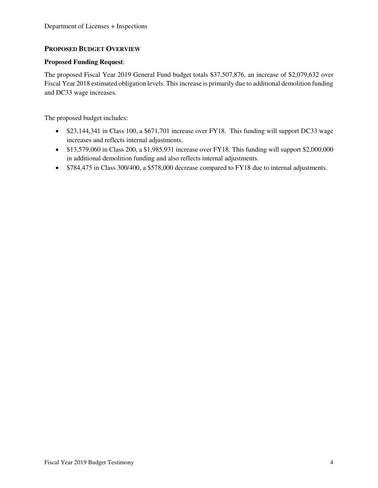## **PROPOSED BUDGET OVERVIEW**

#### **Proposed Funding Request**:

The proposed Fiscal Year 2019 General Fund budget totals \$37,507,876, an increase of \$2,079,632 over Fiscal Year 2018 estimated obligation levels. This increase is primarily due to additional demolition funding and DC33 wage increases.

The proposed budget includes:

- \$23,144,341 in Class 100, a \$671,701 increase over FY18. This funding will support DC33 wage increases and reflects internal adjustments.
- \$13,579,060 in Class 200, a \$1,985,931 increase over FY18. This funding will support \$2,000,000 in additional demolition funding and also reflects internal adjustments.
- \$784,475 in Class 300/400, a \$578,000 decrease compared to FY18 due to internal adjustments.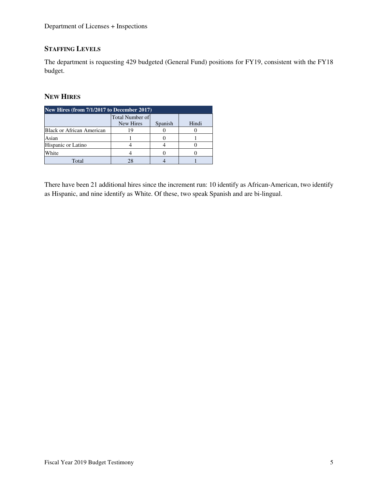# **STAFFING LEVELS**

The department is requesting 429 budgeted (General Fund) positions for FY19, consistent with the FY18 budget.

### **NEW HIRES**

| New Hires (from $7/1/2\overline{017}$ to December 2017) |                                     |         |       |  |  |  |  |  |
|---------------------------------------------------------|-------------------------------------|---------|-------|--|--|--|--|--|
|                                                         | <b>Total Number of</b><br>New Hires | Spanish | Hindi |  |  |  |  |  |
| Black or African American                               |                                     |         |       |  |  |  |  |  |
| Asian                                                   |                                     |         |       |  |  |  |  |  |
| Hispanic or Latino                                      |                                     |         |       |  |  |  |  |  |
| White                                                   |                                     |         |       |  |  |  |  |  |
| Total                                                   |                                     |         |       |  |  |  |  |  |

There have been 21 additional hires since the increment run: 10 identify as African-American, two identify as Hispanic, and nine identify as White. Of these, two speak Spanish and are bi-lingual.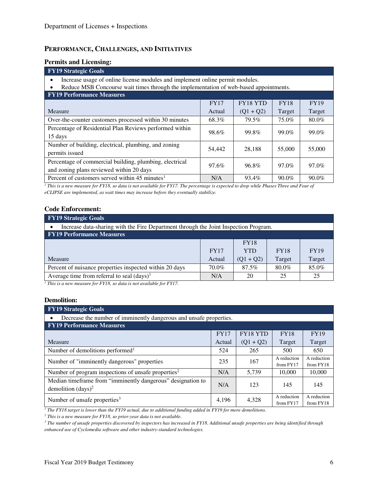#### **PERFORMANCE, CHALLENGES, AND INITIATIVES**

#### **Permits and Licensing:**

#### **FY19 Strategic Goals**  • Increase usage of online license modules and implement online permit modules. • Reduce MSB Concourse wait times through the implementation of web-based appointments. **FY19 Performance Measures**  Measure FY17 Actual FY18 YTD  $(Q1 + Q2)$ FY18 Target FY19 Target Over-the-counter customers processed within 30 minutes  $\begin{array}{|l|c|c|c|c|c|c|c|} \hline \text{68.3\%} & \text{79.5\%} & \text{75.0\%} & \text{80.0\%} \hline \end{array}$ Percentage of Residential Plan Reviews performed within 98.6% 99.0% 99.0% 99.0% 99.0% 99.0% 99.0% Number of building, electrical, plumbing, and zoning permits issued 55,000 55,000 55,000 55,000 55,000 55,000 55,000 55,000 55,000 55,000 55,000 55,000 55,000 55,000 Percentage of commercial building, plumbing, electrical and zoning plans reviewed within 20 days and zoning plans reviewed within 20 days Percent of customers served within 45 minutes<sup>1</sup>  $N/A$  93.4% 90.0% 90.0% 90.0%

*1 This is a new measure for FY18, so data is not available for FY17. The percentage is expected to drop while Phases Three and Four of eCLIPSE are implemented, as wait times may increase before they eventually stabilize.*

#### **Code Enforcement:**

| <b>FY19 Strategic Goals</b>                                                          |             |             |             |             |  |  |  |  |  |
|--------------------------------------------------------------------------------------|-------------|-------------|-------------|-------------|--|--|--|--|--|
| Increase data-sharing with the Fire Department through the Joint Inspection Program. |             |             |             |             |  |  |  |  |  |
| <b>FY19 Performance Measures</b>                                                     |             |             |             |             |  |  |  |  |  |
|                                                                                      |             | <b>FY18</b> |             |             |  |  |  |  |  |
|                                                                                      | <b>FY17</b> | <b>YTD</b>  | <b>FY18</b> | <b>FY19</b> |  |  |  |  |  |
| <b>Measure</b>                                                                       | Actual      | $(Q1 + Q2)$ | Target      | Target      |  |  |  |  |  |
| Percent of nuisance properties inspected within 20 days                              | 70.0%       | 87.5%       | 80.0%       | 85.0%       |  |  |  |  |  |
| Average time from referral to seal $(days)^1$                                        | N/A         | 20          | 25          | 25          |  |  |  |  |  |
| ____                                                                                 |             |             |             |             |  |  |  |  |  |

*1 This is a new measure for FY18, so data is not available for FY17.*

#### **Demolition:**

| <b>FY19 Strategic Goals</b>                                                                |             |                 |                          |                          |  |  |  |  |  |
|--------------------------------------------------------------------------------------------|-------------|-----------------|--------------------------|--------------------------|--|--|--|--|--|
| Decrease the number of imminently dangerous and unsafe properties.<br>$\bullet$            |             |                 |                          |                          |  |  |  |  |  |
| <b>FY19 Performance Measures</b>                                                           |             |                 |                          |                          |  |  |  |  |  |
|                                                                                            | <b>FY17</b> | <b>FY18 YTD</b> | <b>FY18</b>              | <b>FY19</b>              |  |  |  |  |  |
| Measure                                                                                    | Actual      | $(Q1 + Q2)$     | Target                   | Target                   |  |  |  |  |  |
| Number of demolitions performed <sup>1</sup>                                               | 524         | 265             | 500                      | 650                      |  |  |  |  |  |
| Number of "imminently dangerous" properties                                                | 235         | 167             | A reduction<br>from FY17 | A reduction<br>from FY18 |  |  |  |  |  |
| Number of program inspections of unsafe properties <sup>2</sup>                            | N/A         | 5,739           | 10,000                   | 10,000                   |  |  |  |  |  |
| Median timeframe from "imminently dangerous" designation to<br>demolition $\frac{days}{2}$ | N/A         | 123             | 145                      | 145                      |  |  |  |  |  |
| Number of unsafe properties <sup>3</sup>                                                   | 4.196       | 4,328           | A reduction<br>from FY17 | A reduction<br>from FY18 |  |  |  |  |  |

<sup>1</sup> The FY18 target is lower than the FY19 actual, due to additional funding added in FY19 for more demolitions.

*2 This is a new measure for FY18, so prior-year data is not available.* 

*3 The number of unsafe properties discovered by inspectors has increased in FY18. Additional unsafe properties are being identified through enhanced use of Cyclomedia software and other industry-standard technologies.*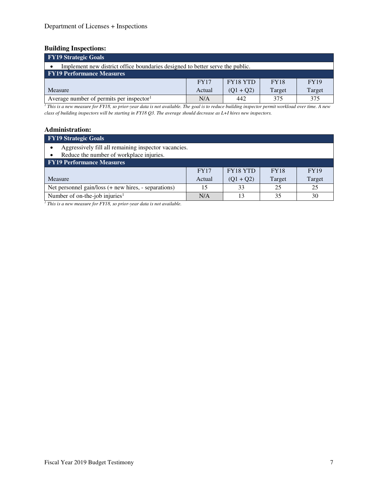# **Building Inspections:**

| <b>FY19 Strategic Goals</b>                                                   |             |                 |             |             |  |  |  |  |  |
|-------------------------------------------------------------------------------|-------------|-----------------|-------------|-------------|--|--|--|--|--|
| Implement new district office boundaries designed to better serve the public. |             |                 |             |             |  |  |  |  |  |
| <b>FY19 Performance Measures</b>                                              |             |                 |             |             |  |  |  |  |  |
|                                                                               | <b>FY17</b> | <b>FY18 YTD</b> | <b>FY18</b> | <b>FY19</b> |  |  |  |  |  |
| Measure                                                                       | Actual      | $(Q1 + Q2)$     | Target      | Target      |  |  |  |  |  |
| Average number of permits per inspector <sup>1</sup>                          | N/A         | 442             | 375         | 375         |  |  |  |  |  |

<sup>1</sup> This is a new measure for FY18, so prior-year data is not available. The goal is to reduce building inspector permit workload over time. A new *class of building inspectors will be starting in FY18 Q3. The average should decrease as L+I hires new inspectors.*

#### **Administration:**

| <b>FY19</b> Strategic Goals                                                                      |             |                 |             |             |  |  |  |  |  |
|--------------------------------------------------------------------------------------------------|-------------|-----------------|-------------|-------------|--|--|--|--|--|
| Aggressively fill all remaining inspector vacancies.<br>Reduce the number of workplace injuries. |             |                 |             |             |  |  |  |  |  |
| <b>FY19 Performance Measures</b>                                                                 |             |                 |             |             |  |  |  |  |  |
|                                                                                                  | <b>FY17</b> | <b>FY18 YTD</b> | <b>FY18</b> | <b>FY19</b> |  |  |  |  |  |
| <b>Measure</b>                                                                                   | Actual      | $(Q1 + Q2)$     | Target      | Target      |  |  |  |  |  |
| Net personnel gain/loss (+ new hires, - separations)                                             | 15          | 33              | 25          | 25          |  |  |  |  |  |
| Number of on-the-job injuries <sup>1</sup>                                                       | N/A         | 13              | 35          | 30          |  |  |  |  |  |

*1 This is a new measure for FY18, so prior-year data is not available.*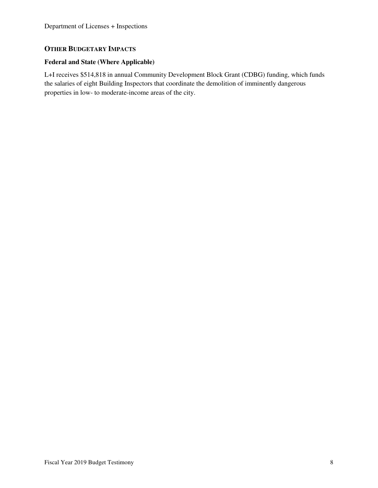## **OTHER BUDGETARY IMPACTS**

### **Federal and State (Where Applicable)**

L+I receives \$514,818 in annual Community Development Block Grant (CDBG) funding, which funds the salaries of eight Building Inspectors that coordinate the demolition of imminently dangerous properties in low- to moderate-income areas of the city.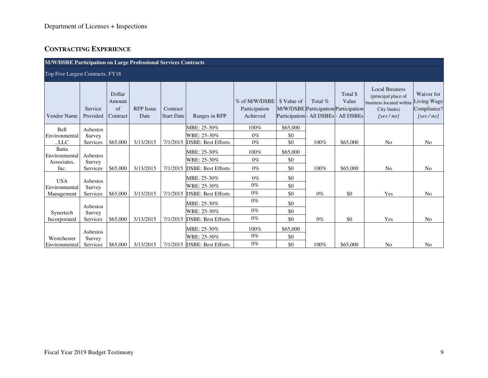# Department of Licenses + Inspections

# **CONTRACTING EXPERIENCE**

| <b>M/W/DSBE Participation on Large Professional Services Contracts</b> |                     |                                    |                          |                               |                                     |                                            |                                                      |         |                                                           |                                                                                                                 |                                       |
|------------------------------------------------------------------------|---------------------|------------------------------------|--------------------------|-------------------------------|-------------------------------------|--------------------------------------------|------------------------------------------------------|---------|-----------------------------------------------------------|-----------------------------------------------------------------------------------------------------------------|---------------------------------------|
| Top Five Largest Contracts, FY18                                       |                     |                                    |                          |                               |                                     |                                            |                                                      |         |                                                           |                                                                                                                 |                                       |
| <b>Vendor Name</b>                                                     | Service<br>Provided | Dollar<br>Amount<br>of<br>Contract | <b>RFP</b> Issue<br>Date | Contract<br><b>Start Date</b> | Ranges in RFP                       | % of M/W/DSBE<br>Participation<br>Achieved | \$ Value of<br>Participation - All DSBEs - All DSBEs | Total % | Total \$<br>Value<br>M/W/DSBE Participation Participation | <b>Local Business</b><br>(principal place of<br>business located within Living Wage<br>City limits)<br>[yes/no] | Waiver for<br>Compliance?<br>[yes/no] |
| Bell                                                                   | Asbestos            |                                    |                          |                               | MBE: 25-30%                         | 100%                                       | \$65,000                                             |         |                                                           |                                                                                                                 |                                       |
| Environmental                                                          | Survey              |                                    |                          |                               | WBE: 25-30%                         | $0\%$                                      | \$0                                                  |         |                                                           |                                                                                                                 |                                       |
| , $LLC$                                                                | Services            | \$65,000                           | 3/13/2015                | 7/1/2015                      | <b>DSBE: Best Efforts</b>           | $0\%$                                      | \$0                                                  | 100%    | \$65,000                                                  | No                                                                                                              | N <sub>o</sub>                        |
| Batta<br>Environmental                                                 | Asbestos            |                                    |                          |                               | MBE: 25-30%                         | 100%                                       | \$65,000                                             |         |                                                           |                                                                                                                 |                                       |
| Associates,                                                            | Survey              |                                    |                          |                               | WBE: 25-30%                         | $0\%$                                      | \$0                                                  |         |                                                           |                                                                                                                 |                                       |
| Inc.                                                                   | Services            | \$65,000                           | 3/13/2015                |                               | 7/1/2015 <b>DSBE</b> : Best Efforts | $0\%$                                      | \$0                                                  | 100%    | \$65,000                                                  | N <sub>0</sub>                                                                                                  | N <sub>0</sub>                        |
| <b>USA</b>                                                             | Asbestos            |                                    |                          |                               | MBE: 25-30%                         | $0\%$                                      | \$0                                                  |         |                                                           |                                                                                                                 |                                       |
| Environmental                                                          | Survey              |                                    |                          |                               | WBE: 25-30%                         | $0\%$                                      | \$0                                                  |         |                                                           |                                                                                                                 |                                       |
| Management                                                             | Services            | \$65,000                           | 3/13/2015                |                               | 7/1/2015 <b>DSBE</b> : Best Efforts | $0\%$                                      | \$0                                                  | $0\%$   | \$0                                                       | Yes                                                                                                             | N <sub>0</sub>                        |
|                                                                        | Asbestos            |                                    |                          |                               | MBE: 25-30%                         | $0\%$                                      | \$0                                                  |         |                                                           |                                                                                                                 |                                       |
| Synertech                                                              | Survey              |                                    |                          |                               | WBE: 25-30%                         | $0\%$                                      | \$0                                                  |         |                                                           |                                                                                                                 |                                       |
| Incorporated                                                           | Services            | \$65,000                           | 3/13/2015                |                               | 7/1/2015 <b>DSBE</b> : Best Efforts | $0\%$                                      | \$0                                                  | $0\%$   | \$0                                                       | Yes                                                                                                             | N <sub>0</sub>                        |
|                                                                        | Asbestos            |                                    |                          |                               | MBE: 25-30%                         | 100%                                       | \$65,000                                             |         |                                                           |                                                                                                                 |                                       |
| Westchester                                                            | Survey              |                                    |                          |                               | WBE: 25-30%                         | $0\%$                                      | \$0                                                  |         |                                                           |                                                                                                                 |                                       |
| Environmental                                                          | Services            | \$65,000                           | 3/13/2015                |                               | 7/1/2015 <b>DSBE</b> : Best Efforts | $0\%$                                      | \$0                                                  | 100%    | \$65,000                                                  | N <sub>0</sub>                                                                                                  | N <sub>0</sub>                        |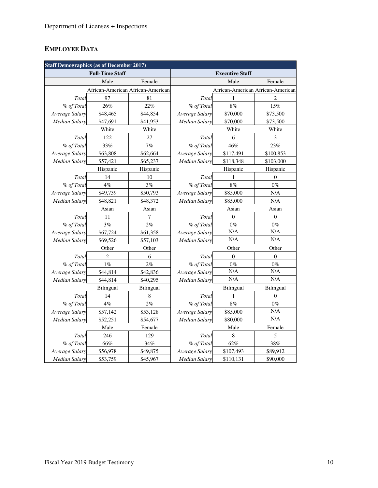# **EMPLOYEE DATA**

| <b>Staff Demographics (as of December 2017)</b> |                        |                                   |                      |                        |                                   |
|-------------------------------------------------|------------------------|-----------------------------------|----------------------|------------------------|-----------------------------------|
|                                                 | <b>Full-Time Staff</b> |                                   |                      | <b>Executive Staff</b> |                                   |
|                                                 | Male                   | Female                            |                      | Male                   | Female                            |
|                                                 |                        | African-American African-American |                      |                        | African-American African-American |
| Total                                           | 97                     | 81                                | Total                | 1                      | $\overline{c}$                    |
| % of Total                                      | 26%                    | 22%                               | % of Total           | $8\%$                  | $15\%$                            |
| Average Salary                                  | \$48,465               | \$44,854                          | Average Salary       | \$70,000               | \$73,500                          |
| <b>Median Salary</b>                            | \$47,691               | \$41,953                          | <b>Median Salary</b> | \$70,000               | \$73,500                          |
|                                                 | White                  | White                             |                      | White                  | White                             |
| Total                                           | 122                    | 27                                | Total                | 6                      | $\mathfrak{Z}$                    |
| % of Total                                      | 33%                    | 7%                                | % of Total           | 46%                    | 23%                               |
| Average Salary                                  | \$63,808               | \$62,664                          | Average Salary       | \$117,491              | \$100,853                         |
| Median Salary                                   | \$57,421               | \$65,237                          | Median Salary        | \$118,348              | \$103,000                         |
|                                                 | Hispanic               | Hispanic                          |                      | Hispanic               | Hispanic                          |
| Total                                           | 14                     | 10                                | Total                | 1                      | $\Omega$                          |
| % of Total                                      | 4%                     | 3%                                | % of Total           | 8%                     | $0\%$                             |
| Average Salary                                  | \$49,739               | \$50,793                          | Average Salary       | \$85,000               | N/A                               |
| <b>Median Salary</b>                            | \$48,821               | \$48,372                          | <b>Median Salary</b> | \$85,000               | N/A                               |
|                                                 | Asian                  | Asian                             |                      | Asian                  | Asian                             |
| Total                                           | 11                     | 7                                 | Total                | $\overline{0}$         | $\mathbf{0}$                      |
| % of Total                                      | 3%                     | 2%                                | % of Total           | $0\%$                  | $0\%$                             |
| Average Salary                                  | \$67,724               | \$61,358                          | Average Salary       | N/A                    | N/A                               |
| Median Salary                                   | \$69,526               | \$57,103                          | Median Salary        | N/A                    | N/A                               |
|                                                 | Other                  | Other                             |                      | Other                  | Other                             |
| Total                                           | $\overline{2}$         | 6                                 | Total                | $\theta$               | $\mathbf{0}$                      |
| % of Total                                      | $1\%$                  | $2\%$                             | % of Total           | $0\%$                  | $0\%$                             |
| Average Salary                                  | \$44,814               | \$42,836                          | Average Salary       | N/A                    | N/A                               |
| Median Salary                                   | \$44,814               | \$40,295                          | Median Salary        | N/A                    | N/A                               |
|                                                 | Bilingual              | Bilingual                         |                      | <b>Bilingual</b>       | Bilingual                         |
| Total                                           | 14                     | $\,$ 8 $\,$                       | Total                | 1                      | $\boldsymbol{0}$                  |
| % of Total                                      | 4%                     | 2%                                | % of Total           | 8%                     | $0\%$                             |
| Average Salary                                  | \$57,142               | \$53,128                          | Average Salary       | \$85,000               | N/A                               |
| <b>Median Salary</b>                            | \$52,251               | \$54,677                          | <b>Median Salary</b> | \$80,000               | N/A                               |
|                                                 | Male                   | Female                            |                      | Male                   | Female                            |
| Total                                           | 246                    | 129                               | Total                | $\,$ 8 $\,$            | 5                                 |
| % of Total                                      | $66\%$                 | 34%                               | % of Total           | $62\%$                 | $38\%$                            |
| Average Salary                                  | \$56,978               | \$49,875                          | Average Salary       | \$107,493              | \$89,912                          |
| Median Salary                                   | \$53,759               | \$45,967                          | Median Salary        | \$110,131              | \$90,000                          |